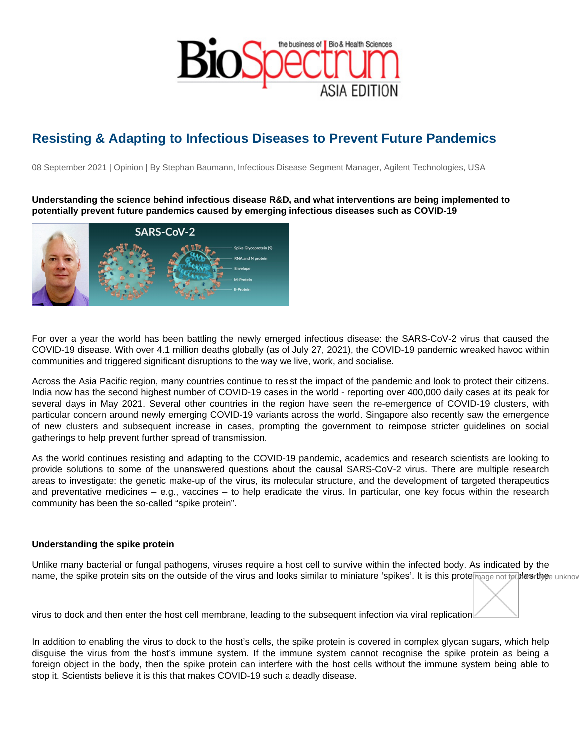## Resisting & Adapting to Infectious Diseases to Prevent Future Pandemics

08 September 2021 | Opinion | By Stephan Baumann, Infectious Disease Segment Manager, Agilent Technologies, USA

Understanding the science behind infectious disease R&D, and what interventions are being implemented to potentially prevent future pandemics caused by emerging infectious diseases such as COVID-19

For over a year the world has been battling the newly emerged infectious disease: the SARS-CoV-2 virus that caused the COVID-19 disease. With over 4.1 million deaths globally (as of July 27, 2021), the COVID-19 pandemic wreaked havoc within communities and triggered significant disruptions to the way we live, work, and socialise.

Across the Asia Pacific region, many countries continue to resist the impact of the pandemic and look to protect their citizens. India now has the second highest number of COVID-19 cases in the world - reporting over 400,000 daily cases at its peak for several days in May 2021. Several other countries in the region have seen the re-emergence of COVID-19 clusters, with particular concern around newly emerging COVID-19 variants across the world. Singapore also recently saw the emergence of new clusters and subsequent increase in cases, prompting the government to reimpose stricter guidelines on social gatherings to help prevent further spread of transmission.

As the world continues resisting and adapting to the COVID-19 pandemic, academics and research scientists are looking to provide solutions to some of the unanswered questions about the causal SARS-CoV-2 virus. There are multiple research areas to investigate: the genetic make-up of the virus, its molecular structure, and the development of targeted therapeutics and preventative medicines – e.g., vaccines – to help eradicate the virus. In particular, one key focus within the research community has been the so-called "spike protein".

## Understanding the spike protein

Unlike many bacterial or fungal pathogens, viruses require a host cell to survive within the infected body. As indicated by the name, the spike protein sits on the outside of the virus and looks similar to miniature 'spikes'. It is this proteimabat enables thee unknow

virus to dock and then enter the host cell membrane, leading to the subsequent infection via viral replication.

In addition to enabling the virus to dock to the host's cells, the spike protein is covered in complex glycan sugars, which help disguise the virus from the host's immune system. If the immune system cannot recognise the spike protein as being a foreign object in the body, then the spike protein can interfere with the host cells without the immune system being able to stop it. Scientists believe it is this that makes COVID-19 such a deadly disease.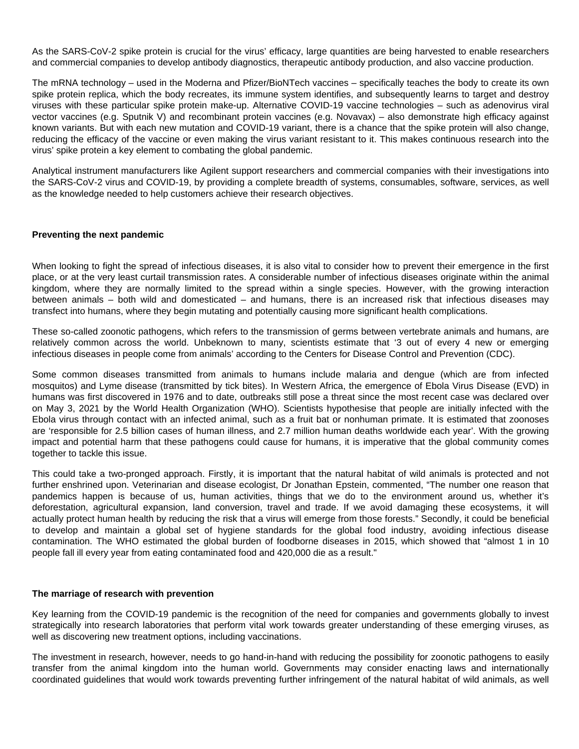As the SARS-CoV-2 spike protein is crucial for the virus' efficacy, large quantities are being harvested to enable researchers and commercial companies to develop antibody diagnostics, therapeutic antibody production, and also vaccine production.

The mRNA technology – used in the Moderna and Pfizer/BioNTech vaccines – specifically teaches the body to create its own spike protein replica, which the body recreates, its immune system identifies, and subsequently learns to target and destroy viruses with these particular spike protein make-up. Alternative COVID-19 vaccine technologies – such as adenovirus viral vector vaccines (e.g. Sputnik V) and recombinant protein vaccines (e.g. Novavax) – also demonstrate high efficacy against known variants. But with each new mutation and COVID-19 variant, there is a chance that the spike protein will also change, reducing the efficacy of the vaccine or even making the virus variant resistant to it. This makes continuous research into the virus' spike protein a key element to combating the global pandemic.

Analytical instrument manufacturers like Agilent support researchers and commercial companies with their investigations into the SARS-CoV-2 virus and COVID-19, by providing a complete breadth of systems, consumables, software, services, as well as the knowledge needed to help customers achieve their research objectives.

## **Preventing the next pandemic**

When looking to fight the spread of infectious diseases, it is also vital to consider how to prevent their emergence in the first place, or at the very least curtail transmission rates. A considerable number of infectious diseases originate within the animal kingdom, where they are normally limited to the spread within a single species. However, with the growing interaction between animals – both wild and domesticated – and humans, there is an increased risk that infectious diseases may transfect into humans, where they begin mutating and potentially causing more significant health complications.

These so-called zoonotic pathogens, which refers to the transmission of germs between vertebrate animals and humans, are relatively common across the world. Unbeknown to many, scientists estimate that '3 out of every 4 new or emerging infectious diseases in people come from animals' according to the Centers for Disease Control and Prevention (CDC).

Some common diseases transmitted from animals to humans include malaria and dengue (which are from infected mosquitos) and Lyme disease (transmitted by tick bites). In Western Africa, the emergence of Ebola Virus Disease (EVD) in humans was first discovered in 1976 and to date, outbreaks still pose a threat since the most recent case was declared over on May 3, 2021 by the World Health Organization (WHO). Scientists hypothesise that people are initially infected with the Ebola virus through contact with an infected animal, such as a fruit bat or nonhuman primate. It is estimated that zoonoses are 'responsible for 2.5 billion cases of human illness, and 2.7 million human deaths worldwide each year'. With the growing impact and potential harm that these pathogens could cause for humans, it is imperative that the global community comes together to tackle this issue.

This could take a two-pronged approach. Firstly, it is important that the natural habitat of wild animals is protected and not further enshrined upon. Veterinarian and disease ecologist, Dr Jonathan Epstein, commented, "The number one reason that pandemics happen is because of us, human activities, things that we do to the environment around us, whether it's deforestation, agricultural expansion, land conversion, travel and trade. If we avoid damaging these ecosystems, it will actually protect human health by reducing the risk that a virus will emerge from those forests." Secondly, it could be beneficial to develop and maintain a global set of hygiene standards for the global food industry, avoiding infectious disease contamination. The WHO estimated the global burden of foodborne diseases in 2015, which showed that "almost 1 in 10 people fall ill every year from eating contaminated food and 420,000 die as a result."

## **The marriage of research with prevention**

Key learning from the COVID-19 pandemic is the recognition of the need for companies and governments globally to invest strategically into research laboratories that perform vital work towards greater understanding of these emerging viruses, as well as discovering new treatment options, including vaccinations.

The investment in research, however, needs to go hand-in-hand with reducing the possibility for zoonotic pathogens to easily transfer from the animal kingdom into the human world. Governments may consider enacting laws and internationally coordinated guidelines that would work towards preventing further infringement of the natural habitat of wild animals, as well